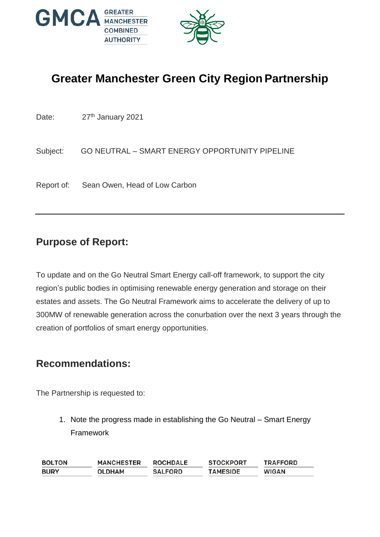

# **Greater Manchester Green City Region Partnership**

Date: 27<sup>th</sup> January 2021

Subject: GO NEUTRAL – SMART ENERGY OPPORTUNITY PIPELINE

Report of: Sean Owen, Head of Low Carbon

### **Purpose of Report:**

To update and on the Go Neutral Smart Energy call-off framework, to support the city region's public bodies in optimising renewable energy generation and storage on their estates and assets. The Go Neutral Framework aims to accelerate the delivery of up to 300MW of renewable generation across the conurbation over the next 3 years through the creation of portfolios of smart energy opportunities.

#### **Recommendations:**

The Partnership is requested to:

1. Note the progress made in establishing the Go Neutral – Smart Energy Framework

| <b>BOLTON</b> | <b>MANCHESTER</b> | <b>ROCHDALE</b> | <b>STOCKPORT</b> | <b>TRAFFORD</b> |
|---------------|-------------------|-----------------|------------------|-----------------|
| <b>BURY</b>   | OLDHAM            | <b>SALFORD</b>  | <b>TAMESIDE</b>  | <b>WIGAN</b>    |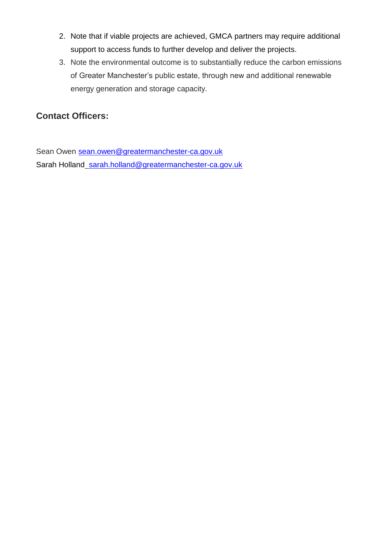- 2. Note that if viable projects are achieved, GMCA partners may require additional support to access funds to further develop and deliver the projects.
- 3. Note the environmental outcome is to substantially reduce the carbon emissions of Greater Manchester's public estate, through new and additional renewable energy generation and storage capacity.

#### **Contact Officers:**

Sean Owen [sean.owen@greatermanchester-ca.gov.uk](mailto:sean.owen@greatermanchester-ca.gov.uk) Sarah Holland sarah.holland@greatermanchester-ca.gov.uk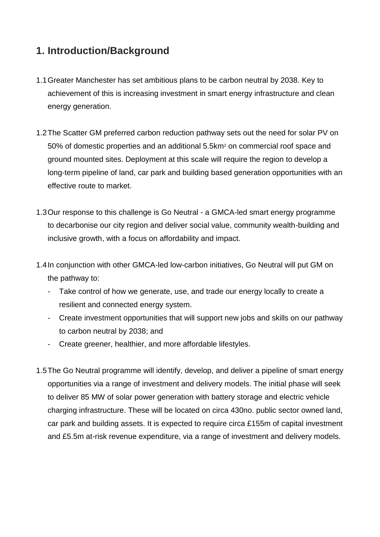## **1. Introduction/Background**

- 1.1Greater Manchester has set ambitious plans to be carbon neutral by 2038. Key to achievement of this is increasing investment in smart energy infrastructure and clean energy generation.
- 1.2The Scatter GM preferred carbon reduction pathway sets out the need for solar PV on 50% of domestic properties and an additional 5.5km<sup>2</sup> on commercial roof space and ground mounted sites. Deployment at this scale will require the region to develop a long-term pipeline of land, car park and building based generation opportunities with an effective route to market.
- 1.3Our response to this challenge is Go Neutral a GMCA-led smart energy programme to decarbonise our city region and deliver social value, community wealth-building and inclusive growth, with a focus on affordability and impact.
- 1.4In conjunction with other GMCA-led low-carbon initiatives, Go Neutral will put GM on the pathway to:
	- Take control of how we generate, use, and trade our energy locally to create a resilient and connected energy system.
	- Create investment opportunities that will support new jobs and skills on our pathway to carbon neutral by 2038; and
	- Create greener, healthier, and more affordable lifestyles.
- 1.5The Go Neutral programme will identify, develop, and deliver a pipeline of smart energy opportunities via a range of investment and delivery models. The initial phase will seek to deliver 85 MW of solar power generation with battery storage and electric vehicle charging infrastructure. These will be located on circa 430no. public sector owned land, car park and building assets. It is expected to require circa £155m of capital investment and £5.5m at-risk revenue expenditure, via a range of investment and delivery models.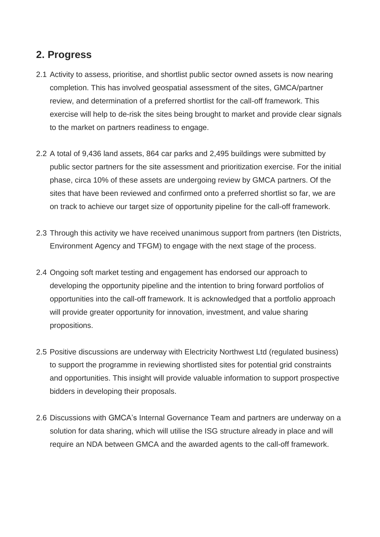### **2. Progress**

- 2.1 Activity to assess, prioritise, and shortlist public sector owned assets is now nearing completion. This has involved geospatial assessment of the sites, GMCA/partner review, and determination of a preferred shortlist for the call-off framework. This exercise will help to de-risk the sites being brought to market and provide clear signals to the market on partners readiness to engage.
- 2.2 A total of 9,436 land assets, 864 car parks and 2,495 buildings were submitted by public sector partners for the site assessment and prioritization exercise. For the initial phase, circa 10% of these assets are undergoing review by GMCA partners. Of the sites that have been reviewed and confirmed onto a preferred shortlist so far, we are on track to achieve our target size of opportunity pipeline for the call-off framework.
- 2.3 Through this activity we have received unanimous support from partners (ten Districts, Environment Agency and TFGM) to engage with the next stage of the process.
- 2.4 Ongoing soft market testing and engagement has endorsed our approach to developing the opportunity pipeline and the intention to bring forward portfolios of opportunities into the call-off framework. It is acknowledged that a portfolio approach will provide greater opportunity for innovation, investment, and value sharing propositions.
- 2.5 Positive discussions are underway with Electricity Northwest Ltd (regulated business) to support the programme in reviewing shortlisted sites for potential grid constraints and opportunities. This insight will provide valuable information to support prospective bidders in developing their proposals.
- 2.6 Discussions with GMCA's Internal Governance Team and partners are underway on a solution for data sharing, which will utilise the ISG structure already in place and will require an NDA between GMCA and the awarded agents to the call-off framework.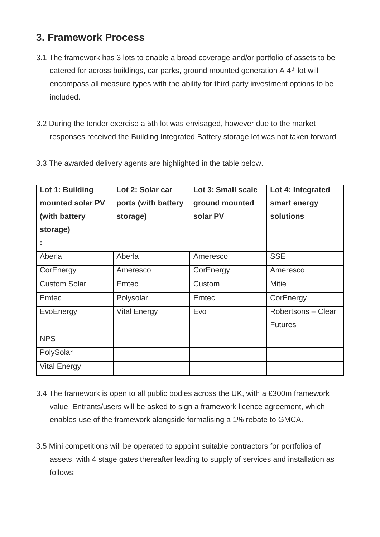# **3. Framework Process**

- 3.1 The framework has 3 lots to enable a broad coverage and/or portfolio of assets to be catered for across buildings, car parks, ground mounted generation A 4<sup>th</sup> lot will encompass all measure types with the ability for third party investment options to be included.
- 3.2 During the tender exercise a 5th lot was envisaged, however due to the market responses received the Building Integrated Battery storage lot was not taken forward
- 3.3 The awarded delivery agents are highlighted in the table below.

| Lot 1: Building     | Lot 2: Solar car    | Lot 3: Small scale | Lot 4: Integrated  |
|---------------------|---------------------|--------------------|--------------------|
| mounted solar PV    | ports (with battery | ground mounted     | smart energy       |
| (with battery       | storage)            | solar PV           | solutions          |
| storage)            |                     |                    |                    |
| $\blacksquare$      |                     |                    |                    |
| Aberla              | Aberla              | Ameresco           | <b>SSE</b>         |
| CorEnergy           | Ameresco            | CorEnergy          | Ameresco           |
| <b>Custom Solar</b> | <b>Emtec</b>        | Custom             | <b>Mitie</b>       |
| <b>Emtec</b>        | Polysolar           | <b>Emtec</b>       | CorEnergy          |
| EvoEnergy           | <b>Vital Energy</b> | Evo                | Robertsons - Clear |
|                     |                     |                    | <b>Futures</b>     |
| <b>NPS</b>          |                     |                    |                    |
| PolySolar           |                     |                    |                    |
| <b>Vital Energy</b> |                     |                    |                    |

- 3.4 The framework is open to all public bodies across the UK, with a £300m framework value. Entrants/users will be asked to sign a framework licence agreement, which enables use of the framework alongside formalising a 1% rebate to GMCA.
- 3.5 Mini competitions will be operated to appoint suitable contractors for portfolios of assets, with 4 stage gates thereafter leading to supply of services and installation as follows: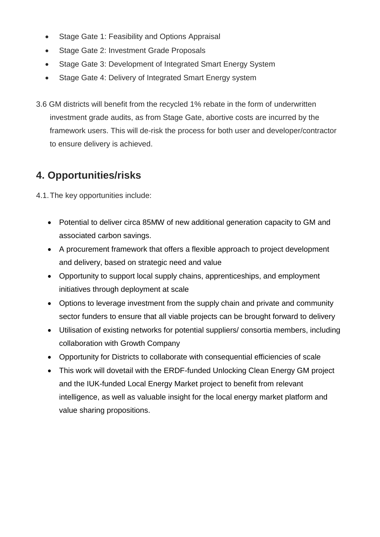- Stage Gate 1: Feasibility and Options Appraisal
- Stage Gate 2: Investment Grade Proposals
- Stage Gate 3: Development of Integrated Smart Energy System
- Stage Gate 4: Delivery of Integrated Smart Energy system
- 3.6 GM districts will benefit from the recycled 1% rebate in the form of underwritten investment grade audits, as from Stage Gate, abortive costs are incurred by the framework users. This will de-risk the process for both user and developer/contractor to ensure delivery is achieved.

# **4. Opportunities/risks**

4.1.The key opportunities include:

- Potential to deliver circa 85MW of new additional generation capacity to GM and associated carbon savings.
- A procurement framework that offers a flexible approach to project development and delivery, based on strategic need and value
- Opportunity to support local supply chains, apprenticeships, and employment initiatives through deployment at scale
- Options to leverage investment from the supply chain and private and community sector funders to ensure that all viable projects can be brought forward to delivery
- Utilisation of existing networks for potential suppliers/ consortia members, including collaboration with Growth Company
- Opportunity for Districts to collaborate with consequential efficiencies of scale
- This work will dovetail with the ERDF-funded Unlocking Clean Energy GM project and the IUK-funded Local Energy Market project to benefit from relevant intelligence, as well as valuable insight for the local energy market platform and value sharing propositions.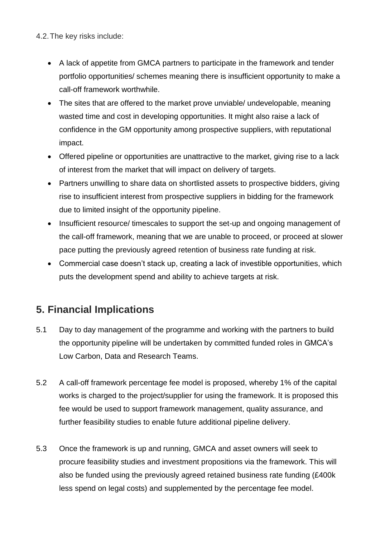4.2.The key risks include:

- A lack of appetite from GMCA partners to participate in the framework and tender portfolio opportunities/ schemes meaning there is insufficient opportunity to make a call-off framework worthwhile.
- The sites that are offered to the market prove unviable/ undevelopable, meaning wasted time and cost in developing opportunities. It might also raise a lack of confidence in the GM opportunity among prospective suppliers, with reputational impact.
- Offered pipeline or opportunities are unattractive to the market, giving rise to a lack of interest from the market that will impact on delivery of targets.
- Partners unwilling to share data on shortlisted assets to prospective bidders, giving rise to insufficient interest from prospective suppliers in bidding for the framework due to limited insight of the opportunity pipeline.
- Insufficient resource/ timescales to support the set-up and ongoing management of the call-off framework, meaning that we are unable to proceed, or proceed at slower pace putting the previously agreed retention of business rate funding at risk.
- Commercial case doesn't stack up, creating a lack of investible opportunities, which puts the development spend and ability to achieve targets at risk.

# **5. Financial Implications**

- 5.1 Day to day management of the programme and working with the partners to build the opportunity pipeline will be undertaken by committed funded roles in GMCA's Low Carbon, Data and Research Teams.
- 5.2 A call-off framework percentage fee model is proposed, whereby 1% of the capital works is charged to the project/supplier for using the framework. It is proposed this fee would be used to support framework management, quality assurance, and further feasibility studies to enable future additional pipeline delivery.
- 5.3 Once the framework is up and running, GMCA and asset owners will seek to procure feasibility studies and investment propositions via the framework. This will also be funded using the previously agreed retained business rate funding (£400k less spend on legal costs) and supplemented by the percentage fee model.